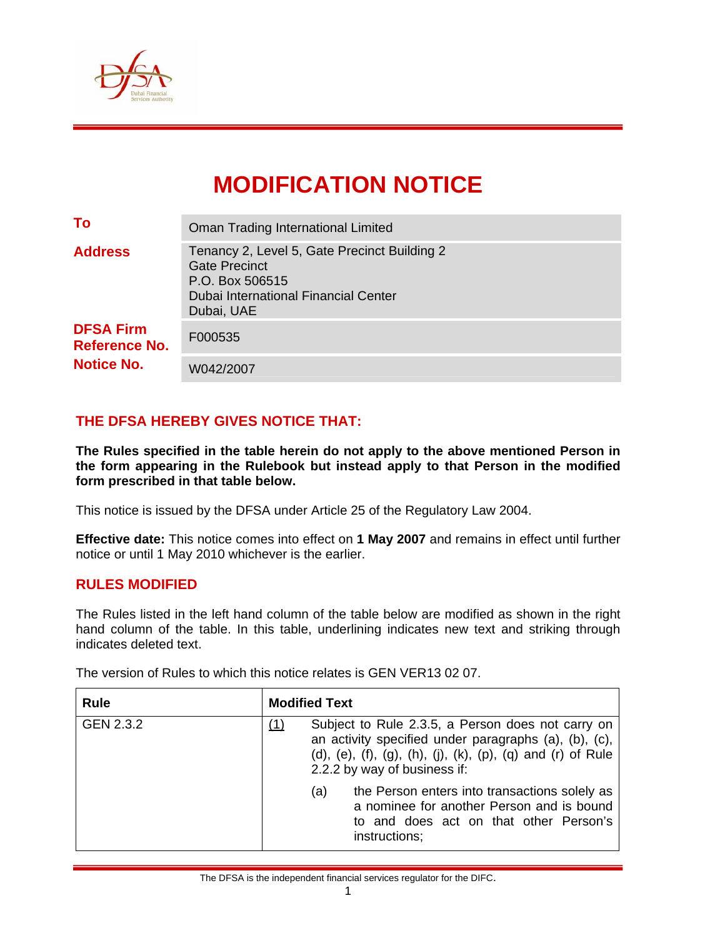

# **MODIFICATION NOTICE**

| To                                                            | <b>Oman Trading International Limited</b>                                                                                                     |  |  |  |
|---------------------------------------------------------------|-----------------------------------------------------------------------------------------------------------------------------------------------|--|--|--|
| <b>Address</b>                                                | Tenancy 2, Level 5, Gate Precinct Building 2<br><b>Gate Precinct</b><br>P.O. Box 506515<br>Dubai International Financial Center<br>Dubai, UAE |  |  |  |
| <b>DFSA Firm</b><br><b>Reference No.</b><br><b>Notice No.</b> | F000535                                                                                                                                       |  |  |  |
|                                                               | W042/2007                                                                                                                                     |  |  |  |

# **THE DFSA HEREBY GIVES NOTICE THAT:**

**The Rules specified in the table herein do not apply to the above mentioned Person in the form appearing in the Rulebook but instead apply to that Person in the modified form prescribed in that table below.** 

This notice is issued by the DFSA under Article 25 of the Regulatory Law 2004.

**Effective date:** This notice comes into effect on **1 May 2007** and remains in effect until further notice or until 1 May 2010 whichever is the earlier.

#### **RULES MODIFIED**

The Rules listed in the left hand column of the table below are modified as shown in the right hand column of the table. In this table, underlining indicates new text and striking through indicates deleted text.

The version of Rules to which this notice relates is GEN VER13 02 07.

| <b>Rule</b> | <b>Modified Text</b>                                                                                                                                                                                      |
|-------------|-----------------------------------------------------------------------------------------------------------------------------------------------------------------------------------------------------------|
| GEN 2.3.2   | Subject to Rule 2.3.5, a Person does not carry on<br>an activity specified under paragraphs (a), (b), (c),<br>(d), (e), (f), (g), (h), (j), (k), (p), (q) and (r) of Rule<br>2.2.2 by way of business if: |
|             | the Person enters into transactions solely as<br>(a)<br>a nominee for another Person and is bound<br>to and does act on that other Person's<br>instructions;                                              |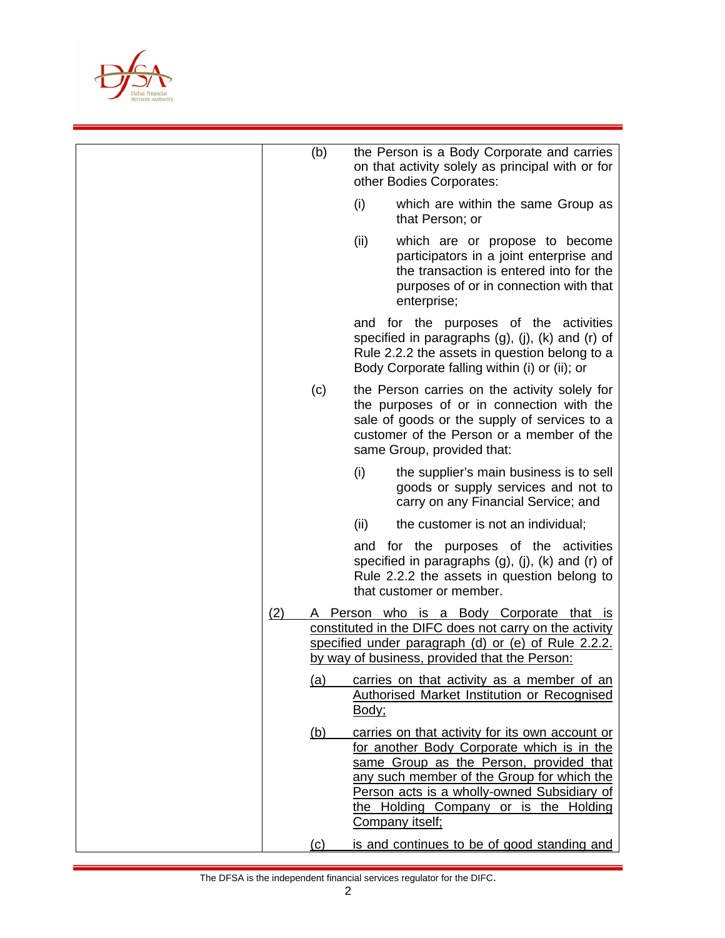

|     | (b)        | the Person is a Body Corporate and carries<br>on that activity solely as principal with or for<br>other Bodies Corporates:                                                                                                                                                                        |
|-----|------------|---------------------------------------------------------------------------------------------------------------------------------------------------------------------------------------------------------------------------------------------------------------------------------------------------|
|     |            | (i)<br>which are within the same Group as<br>that Person; or                                                                                                                                                                                                                                      |
|     |            | (ii)<br>which are or propose to become<br>participators in a joint enterprise and<br>the transaction is entered into for the<br>purposes of or in connection with that<br>enterprise;                                                                                                             |
|     |            | and for the purposes of the activities<br>specified in paragraphs $(g)$ , $(j)$ , $(k)$ and $(r)$ of<br>Rule 2.2.2 the assets in question belong to a<br>Body Corporate falling within (i) or (ii); or                                                                                            |
|     | (c)        | the Person carries on the activity solely for<br>the purposes of or in connection with the<br>sale of goods or the supply of services to a<br>customer of the Person or a member of the<br>same Group, provided that:                                                                             |
|     |            | (i)<br>the supplier's main business is to sell<br>goods or supply services and not to<br>carry on any Financial Service; and                                                                                                                                                                      |
|     |            | (ii)<br>the customer is not an individual;                                                                                                                                                                                                                                                        |
|     |            | and for the purposes of the activities<br>specified in paragraphs (g), (j), (k) and (r) of<br>Rule 2.2.2 the assets in question belong to<br>that customer or member.                                                                                                                             |
| (2) |            | Person who is a Body Corporate that is<br>constituted in the DIFC does not carry on the activity<br>specified under paragraph (d) or (e) of Rule 2.2.2.<br>by way of business, provided that the Person:                                                                                          |
|     | (a)        | carries on that activity as a member of an<br><b>Authorised Market Institution or Recognised</b><br>Body;                                                                                                                                                                                         |
|     | <u>(b)</u> | carries on that activity for its own account or<br>for another Body Corporate which is in the<br>same Group as the Person, provided that<br>any such member of the Group for which the<br>Person acts is a wholly-owned Subsidiary of<br>the Holding Company or is the Holding<br>Company itself; |
|     | (c)        | is and continues to be of good standing and                                                                                                                                                                                                                                                       |